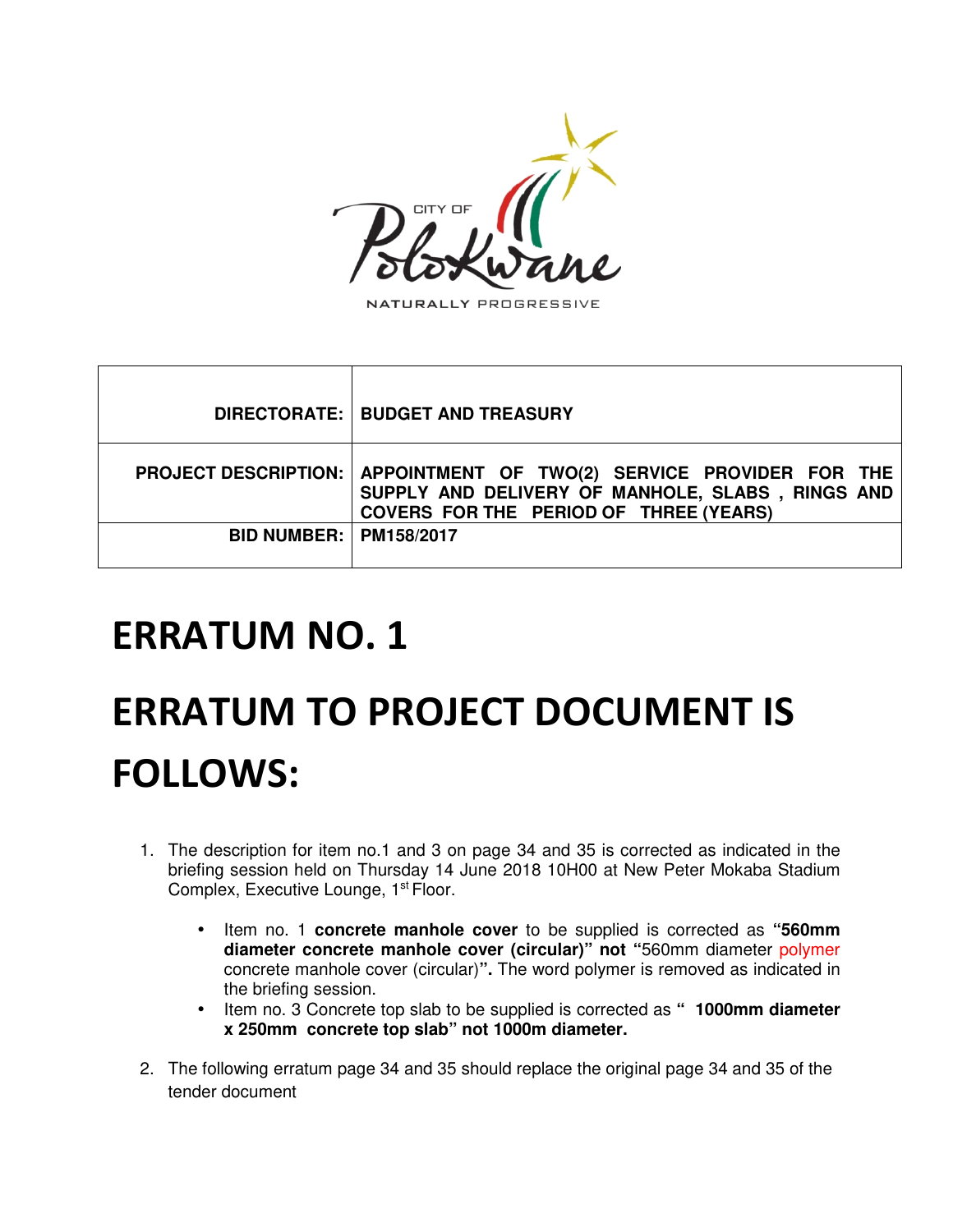

NATURALLY PROGRESSIVE

|                                 | DIRECTORATE:   BUDGET AND TREASURY                                                                                                                  |
|---------------------------------|-----------------------------------------------------------------------------------------------------------------------------------------------------|
| <b>PROJECT DESCRIPTION:</b>     | APPOINTMENT OF TWO(2) SERVICE PROVIDER FOR THE<br>SUPPLY AND DELIVERY OF MANHOLE, SLABS, RINGS AND<br><b>COVERS FOR THE PERIOD OF THREE (YEARS)</b> |
| <b>BID NUMBER:   PM158/2017</b> |                                                                                                                                                     |

# **ERRATUM NO. 1**

# **ERRATUM TO PROJECT DOCUMENT IS FOLLOWS:**

- 1. The description for item no.1 and 3 on page 34 and 35 is corrected as indicated in the briefing session held on Thursday 14 June 2018 10H00 at New Peter Mokaba Stadium Complex, Executive Lounge, 1<sup>st</sup> Floor.
	- Item no. 1 **concrete manhole cover** to be supplied is corrected as **"560mm diameter concrete manhole cover (circular)" not "**560mm diameter polymer concrete manhole cover (circular)**".** The word polymer is removed as indicated in the briefing session.
	- Item no. 3 Concrete top slab to be supplied is corrected as **" 1000mm diameter x 250mm concrete top slab" not 1000m diameter.**
- 2. The following erratum page 34 and 35 should replace the original page 34 and 35 of the tender document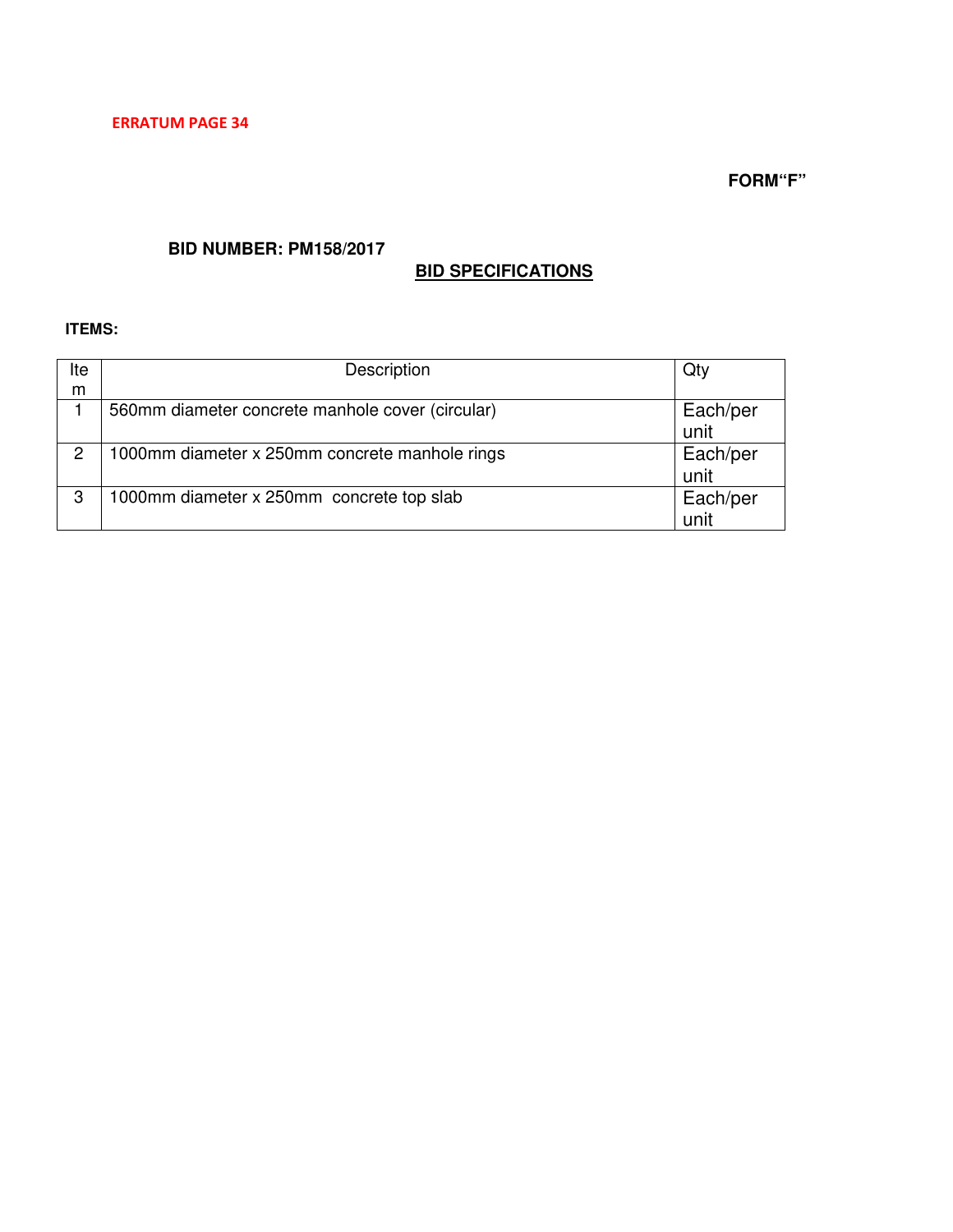## **BID NUMBER: PM158/2017**

# **BID SPECIFICATIONS**

### **ITEMS:**

| lte | Description                                      | Qty              |
|-----|--------------------------------------------------|------------------|
| m   |                                                  |                  |
|     | 560mm diameter concrete manhole cover (circular) | Each/per<br>unit |
| 2   | 1000mm diameter x 250mm concrete manhole rings   | Each/per<br>unit |
| 3   | 1000mm diameter x 250mm concrete top slab        | Each/per<br>unit |